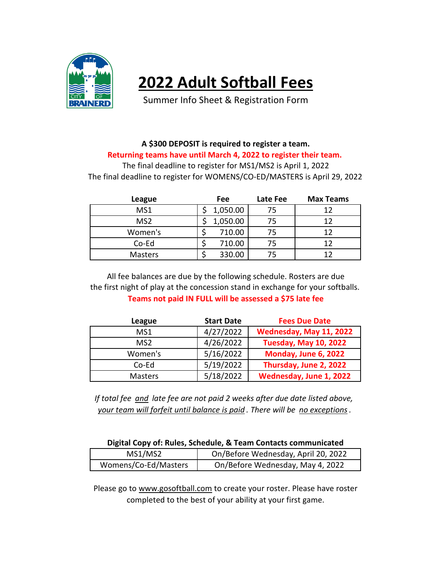

## **2022 Adult Softball Fees**

Summer Info Sheet & Registration Form

## **A \$300 DEPOSIT is required to register a team. Returning teams have until March 4, 2022 to register their team.**

The final deadline to register for MS1/MS2 is April 1, 2022 The final deadline to register for WOMENS/CO-ED/MASTERS is April 29, 2022

| League          | Fee      | Late Fee | <b>Max Teams</b> |
|-----------------|----------|----------|------------------|
| MS1             | 1,050.00 | 75       | 17               |
| MS <sub>2</sub> | 1,050.00 | 75       | 17               |
| Women's         | 710.00   | 75       | 1 7              |
| Co-Ed           | 710.00   | 75       | 17               |
| <b>Masters</b>  | 330.00   | 75       |                  |

**Teams not paid IN FULL will be assessed a \$75 late fee** the first night of play at the concession stand in exchange for your softballs. All fee balances are due by the following schedule. Rosters are due

| League         | <b>Start Date</b> | <b>Fees Due Date</b>         |
|----------------|-------------------|------------------------------|
| MS1            | 4/27/2022         | Wednesday, May 11, 2022      |
| MS2            | 4/26/2022         | <b>Tuesday, May 10, 2022</b> |
| Women's        | 5/16/2022         | Monday, June 6, 2022         |
| Co-Ed          | 5/19/2022         | Thursday, June 2, 2022       |
| <b>Masters</b> | 5/18/2022         | Wednesday, June 1, 2022      |

*If total fee and late fee are not paid 2 weeks after due date listed above, your team will forfeit until balance is paid . There will be no exceptions.*

| Digital Copy of: Rules, Schedule, & Team Contacts communicated |  |  |  |  |
|----------------------------------------------------------------|--|--|--|--|
|----------------------------------------------------------------|--|--|--|--|

| MS1/MS2              | On/Before Wednesday, April 20, 2022 |
|----------------------|-------------------------------------|
| Womens/Co-Ed/Masters | On/Before Wednesday, May 4, 2022    |

Please go to www.gosoftball.com to create your roster. Please have roster completed to the best of your ability at your first game.